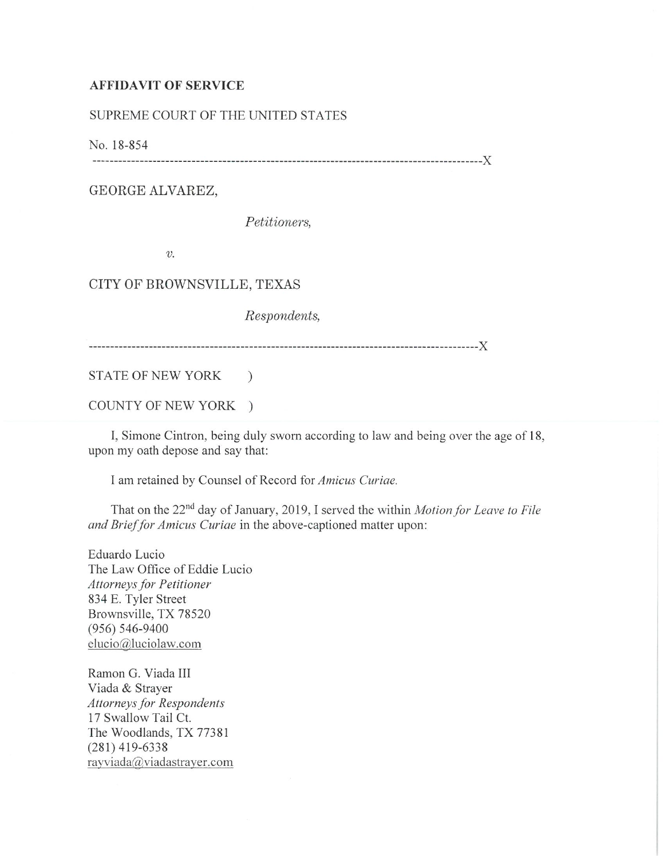## **AFFIDAVIT OF SERVICE**

## SUPREME COURT OF THE UNITED STATES

No. 18-854

------------------------------------------------------------------------------------------)(

GEORGE ALVAREZ,

*Petitioners,* 

*V.* 

CITY OF BROWNSVILLE, TEXAS

*Respondents,* 

------------------------------------------------------------------------------------------)(

STATE OF NEW YORK )

COUNTY OF NEW YORK )

I, Simone Cintron, being duly sworn according to law and being over the age of 18, upon my oath depose and say that:

I am retained by Counsel of Record for *Amicus Curiae.* 

That on the 22nd day of January, 2019, I served the within *Motion for Leave to File and Brief for Amicus Curiae* in the above-captioned matter upon:

Eduardo Lucio The Law Office of Eddie Lucio *Attorneys for Petitioner*  834 E. Tyler Street Brownsville, TX 78520 (956) 546-9400 elucio@luciolaw.com

Ramon G. Viada III Viada & Strayer *Attorneys for Respondents*  17 Swallow Tail Ct. The Woodlands, TX 77381 (281) 419-6338 rayviada@viadastrayer.com